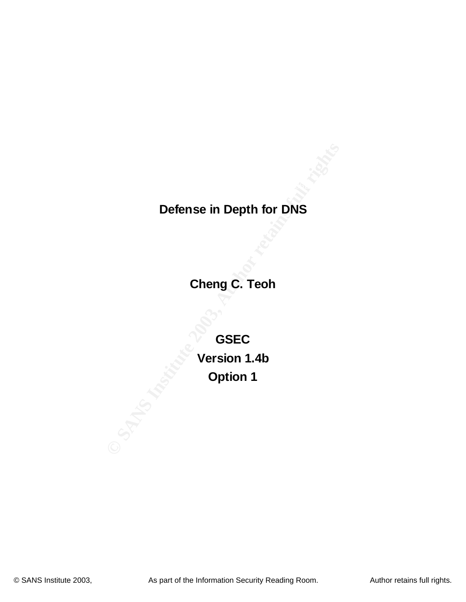# **Defense in Depth for DNS**

**Cheng C. Teoh**

Defense in Depth for DNS<br>
Cheng C. Teoh<br>
GSEC<br>
Version 1.4b<br>
Option 1 **GSEC Version 1.4b Option 1**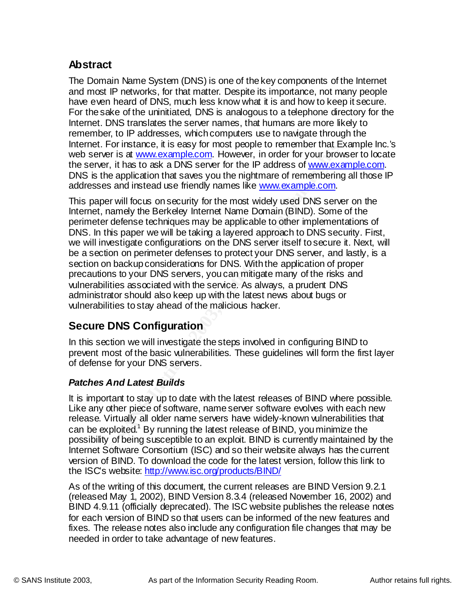# **Abstract**

addresses and instead use friendly names like <u>www.example.com</u>. The Domain Name System (DNS) is one of the key components of the Internet and most IP networks, for that matter. Despite its importance, not many people have even heard of DNS, much less know what it is and how to keep it secure. For the sake of the uninitiated, DNS is analogous to a telephone directory for the Internet. DNS translates the server names, that humans are more likely to remember, to IP addresses, which computers use to navigate through the Internet. For instance, it is easy for most people to remember that Example Inc.'s web server is at www.example.com. However, in order for your browser to locate the server, it has to ask a DNS server for the IP address of www.example.com. DNS is the application that saves you the nightmare of remembering all those IP

For Instance, it is easy for most people to remember that E<br>For is at <u>www.example.com</u>. However, in order for your brow<br>Tr, it has to ask a DNS server for the IP address of <u>www.example.com</u><br>Tr, it has to ask a DNS server This paper will focus on security for the most widely used DNS server on the Internet, namely the Berkeley Internet Name Domain (BIND). Some of the perimeter defense techniques may be applicable to other implementations of DNS. In this paper we will be taking a layered approach to DNS security. First, we will investigate configurations on the DNS server itself to secure it. Next, will be a section on perimeter defenses to protect your DNS server, and lastly, is a section on backup considerations for DNS. With the application of proper precautions to your DNS servers, you can mitigate many of the risks and vulnerabilities associated with the service. As always, a prudent DNS administrator should also keep up with the latest news about bugs or vulnerabilities to stay ahead of the malicious hacker.

# **Secure DNS Configuration**

In this section we will investigate the steps involved in configuring BIND to prevent most of the basic vulnerabilities. These guidelines will form the first layer of defense for your DNS servers.

# *Patches And Latest Builds*

It is important to stay up to date with the latest releases of BIND where possible. Like any other piece of software, name server software evolves with each new release. Virtually all older name servers have widely-known vulnerabilities that can be exploited.<sup>1</sup> By running the latest release of BIND, you minimize the possibility of being susceptible to an exploit. BIND is currently maintained by the Internet Software Consortium (ISC) and so their website always has the current version of BIND. To download the code for the latest version, follow this link to the ISC's website: http://www.isc.org/products/BIND/

(released May 1, 2002), BIND Version 8.3.4 (released November 16, 2002) and<br>RIND 4.0.44 (efficielly degree atop). The ISO website publishes the release nature As of the writing of this document, the current releases are BIND Version 9.2.1 BIND 4.9.11 (officially deprecated). The ISC website publishes the release notes for each version of BIND so that users can be informed of the new features and fixes. The release notes also include any configuration file changes that may be needed in order to take advantage of new features.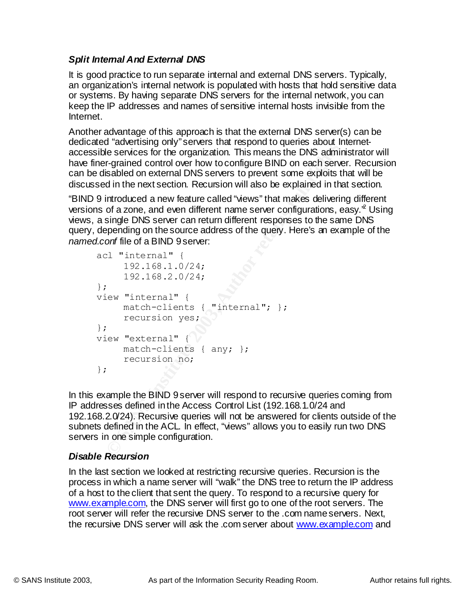# *Split Internal And External DNS*

It is good practice to run separate internal and external DNS servers. Typically, an organization's internal network is populated with hosts that hold sensitive data or systems. By having separate DNS servers for the internal network, you can keep the IP addresses and names of sensitive internal hosts invisible from the Internet.

discussed in the next section. Recursion will also be explained in that section. Another advantage of this approach is that the external DNS server(s) can be dedicated "advertising only" servers that respond to queries about Internetaccessible services for the organization. This means the DNS administrator will have finer-grained control over how to configure BIND on each server. Recursion can be disabled on external DNS servers to prevent some exploits that will be

"BIND 9 introduced a new feature called "views" that makes delivering different versions of a zone, and even different name server configurations, easy.<sup>2</sup> Using views, a single DNS server can return different responses to the same DNS query, depending on the source address of the query. Here's an example of the *named.conf* file of a BIND 9 server:

```
a custinuity only survive in the Cybonic original control and the services for the organization. This means the DNS adminif-grained control over how to configure BIND on each served some substabled on external on the mext 
acl "internal" {
        192.168.1.0/24;
        192.168.2.0/24;
};
view "internal" {
        match-clients { "internal"; };
        recursion yes;
};
view "external" {
        match-clients { any; };
        recursion no;
};
```
In this example the BIND 9 server will respond to recursive queries coming from IP addresses defined in the Access Control List (192.168.1.0/24 and 192.168.2.0/24). Recursive queries will not be answered for clients outside of the subnets defined in the ACL. In effect, "views" allows you to easily run two DNS servers in one simple configuration.

#### *Disable Recursion*

www.example.com, the DNS server will first go to one of the root servers. The In the last section we looked at restricting recursive queries. Recursion is the process in which a name server will "walk" the DNS tree to return the IP address of a host to the client that sent the query. To respond to a recursive query for root server will refer the recursive DNS server to the .com name servers. Next, the recursive DNS server will ask the .com server about www.example.com and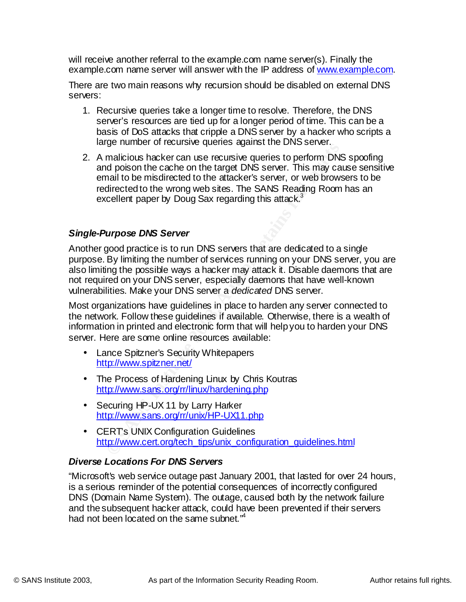will receive another referral to the example.com name server(s). Finally the example.com name server will answer with the IP address of www.example.com.

There are two main reasons why recursion should be disabled on external DNS servers:

- 1. Recursive queries take a longer time to resolve. Therefore, the DNS server's resources are tied up for a longer period of time. This can be a basis of DoS attacks that cripple a DNS server by a hacker who scripts a large number of recursive queries against the DNS server.
- ge nicialists hacker can use recussive quice is even. This orient<br>all poison the cache on the target DNS server. This may can<br>all to be misdirected to the attacker's server, or web brows<br>directed to the worong web sites. T redirected to the wrong web sites. The SANS Reading Room has an 2. A malicious hacker can use recursive queries to perform DNS spoofing and poison the cache on the target DNS server. This may cause sensitive email to be misdirected to the attacker's server, or web browsers to be excellent paper by Doug Sax regarding this attack.<sup>3</sup>

#### *Single-Purpose DNS Server*

Another good practice is to run DNS servers that are dedicated to a single purpose. By limiting the number of services running on your DNS server, you are also limiting the possible ways a hacker may attack it. Disable daemons that are not required on your DNS server, especially daemons that have well-known vulnerabilities. Make your DNS server a *dedicated* DNS server.

Most organizations have guidelines in place to harden any server connected to the network. Follow these guidelines if available. Otherwise, there is a wealth of information in printed and electronic form that will help you to harden your DNS server. Here are some online resources available:

- Lance Spitzner's Security Whitepapers http://www.spitzner.net/
- The Process of Hardening Linux by Chris Koutras http://www.sans.org/rr/linux/hardening.php
- Securing HP-UX 11 by Larry Harker http://www.sans.org/rr/unix/HP-UX11.php
- CERT's UNIX Configuration Guidelines http://www.cert.org/tech\_tips/unix\_configuration\_guidelines.html

#### *Diverse Locations For DNS Servers*

DNS (Domain Name System). The outage, caused both by the network failure "Microsoft's web service outage past January 2001, that lasted for over 24 hours, is a serious reminder of the potential consequences of incorrectly configured and the subsequent hacker attack, could have been prevented if their servers had not been located on the same subnet.<sup>"4</sup>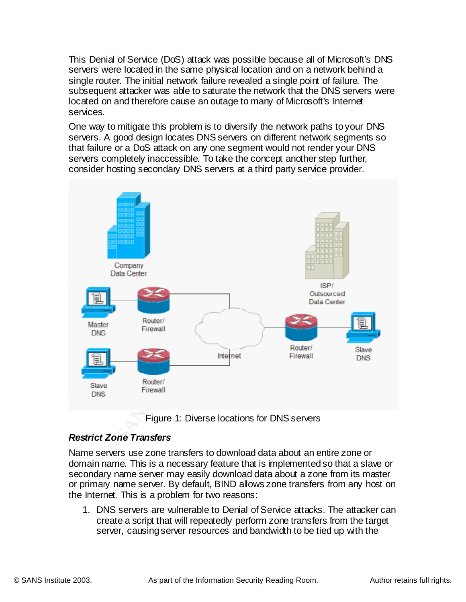This Denial of Service (DoS) attack was possible because all of Microsoft's DNS servers were located in the same physical location and on a network behind a single router. The initial network failure revealed a single point of failure. The subsequent attacker was able to saturate the network that the DNS servers were located on and therefore cause an outage to many of Microsoft's Internet services.

One way to mitigate this problem is to diversify the network paths to your DNS servers. A good design locates DNS servers on different network segments so that failure or a DoS attack on any one segment would not render your DNS servers completely inaccessible. To take the concept another step further, consider hosting secondary DNS servers at a third party service provider.



Figure 1: Diverse locations for DNS servers

#### *Restrict Zone Transfers*

the Internet. This is a problem for two reasons: Name servers use zone transfers to download data about an entire zone or domain name. This is a necessary feature that is implemented so that a slave or secondary name server may easily download data about a zone from its master or primary name server. By default, BIND allows zone transfers from any host on

1. DNS servers are vulnerable to Denial of Service attacks. The attacker can create a script that will repeatedly perform zone transfers from the target server, causing server resources and bandwidth to be tied up with the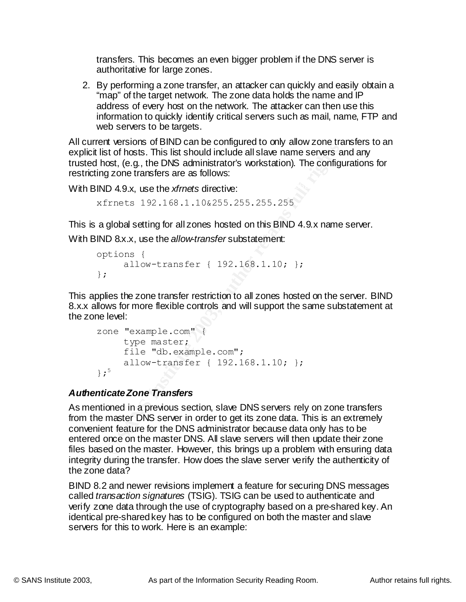transfers. This becomes an even bigger problem if the DNS server is authoritative for large zones.

2. By performing a zone transfer, an attacker can quickly and easily obtain a "map" of the target network. The zone data holds the name and IP address of every host on the network. The attacker can then use this information to quickly identify critical servers such as mail, name, FTP and web servers to be targets.

All current versions of BIND can be configured to only allow zone transfers to an explicit list of hosts. This list should include all slave name servers and any trusted host, (e.g., the DNS administrator's workstation). The configurations for restricting zone transfers are as follows:

With BIND 4.9.x, use the *xfrnets* directive:

```
xfrnets 192.168.1.10&255.255.255.255
```
This is a global setting for all zones hosted on this BIND 4.9.x name server.

With BIND 8.x.x, use the *allow-transfer* substatement:

```
options {
    allow-transfer { 192.168.1.10; };
};
```
This applies the zone transfer restriction to all zones hosted on the server. BIND 8.x.x allows for more flexible controls and will support the same substatement at the zone level:

```
zone "example.com" {
    type master;
     file "db.example.com";
     allow-transfer { 192.168.1.10; };
};5
```
# *Authenticate Zone Transfers*

**Example 2003 CENT CONDUP CONDUP CONDUP CONDUP CONDUP CONDUP (STANS INSTER 192.168.1.10 and SATS)**<br> **CENT CONDUP CONDUP CONDUP CONDUP CONDUP CONDUP CONDUP CONDUP CONDUP CONDUP (STANS INSTER 192.168.1.10 and DAS IND 4.9.x** As mentioned in a previous section, slave DNS servers rely on zone transfers from the master DNS server in order to get its zone data. This is an extremely convenient feature for the DNS administrator because data only has to be entered once on the master DNS. All slave servers will then update their zone files based on the master. However, this brings up a problem with ensuring data integrity during the transfer. How does the slave server verify the authenticity of the zone data?

kalieu *transaction signatures* (1010). Tolo can be used to authenticate BIND 8.2 and newer revisions implement a feature for securing DNS messages called *transaction signatures* (TSIG). TSIG can be used to authenticate and verify zone data through the use of cryptography based on a pre-shared key. An identical pre-shared key has to be configured on both the master and slave servers for this to work. Here is an example: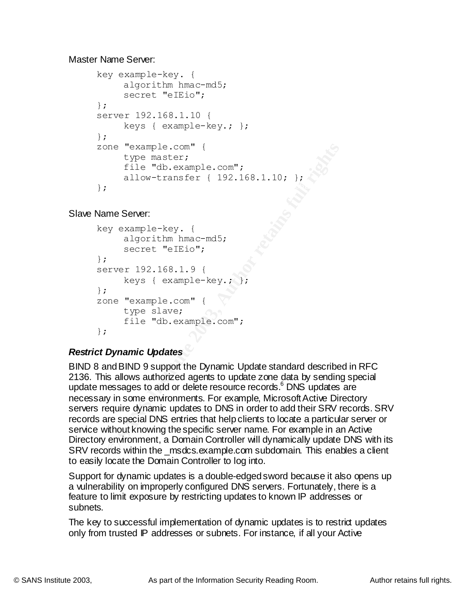Master Name Server:

```
\mathbf{F}key example-key. {
        algorithm hmac-md5;
        secret "eIEio";
    };
    server 192.168.1.10 {
        keys { example-key.; };
    };
    zone "example.com" {
        type master;
        file "db.example.com";
        allow-transfer { 192.168.1.10; };
    };
```
Slave Name Server:

```
key example-key. {
     algorithm hmac-md5;
     secret "eIEio";
};
server 192.168.1.9 {
     keys { example-key.; };
};
zone "example.com" {
    type slave;
     file "db.example.com";
};
```
# *Restrict Dynamic Updates*

one "example.com" (<br>
type master;<br>
file "db.example.com";<br>
allow-transfer (192.168.1.10; );<br>
<br> **EXECUTE:**<br> **EXECUTE:**<br> **EXECUTE:**<br> **EXECUTE:**<br> **EXECUTE:**<br> **EXECUTE:**<br> **EXECUTE:**<br> **EXECUTE:**<br> **EXECUTE:**<br> **EXECUTE:**<br> **EXECUT** BIND 8 and BIND 9 support the Dynamic Update standard described in RFC 2136. This allows authorized agents to update zone data by sending special update messages to add or delete resource records.<sup>6</sup> DNS updates are necessary in some environments. For example, Microsoft Active Directory servers require dynamic updates to DNS in order to add their SRV records. SRV records are special DNS entries that help clients to locate a particular server or service without knowing the specific server name. For example in an Active Directory environment, a Domain Controller will dynamically update DNS with its SRV records within the msdcs.example.com subdomain. This enables a client to easily locate the Domain Controller to log into.

feature to limit exposure by restricting updates to known IP addresses or Support for dynamic updates is a double-edged sword because it also opens up a vulnerability on improperly configured DNS servers. Fortunately, there is a subnets.

The key to successful implementation of dynamic updates is to restrict updates only from trusted IP addresses or subnets. For instance, if all your Active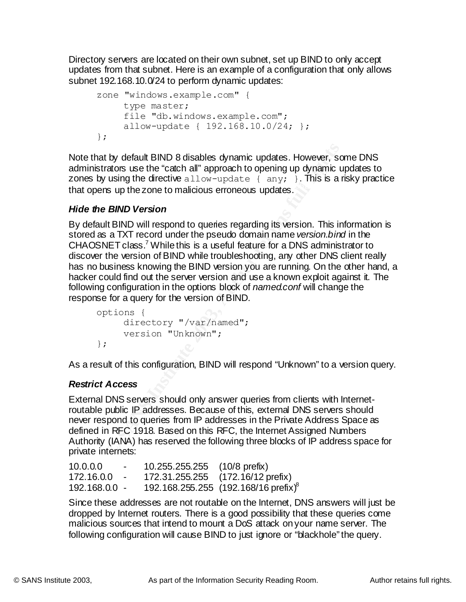Directory servers are located on their own subnet, set up BIND to only accept updates from that subnet. Here is an example of a configuration that only allows subnet 192.168.10.0/24 to perform dynamic updates:

```
zone "windows.example.com" {
    type master;
     file "db.windows.example.com";
     allow-update { 192.168.10.0/24; };
};
```
that opens up the zone to malicious erroneous updates. Note that by default BIND 8 disables dynamic updates. However, some DNS administrators use the "catch all" approach to opening up dynamic updates to zones by using the directive allow-update  $\{$  any;  $\}$ . This is a risky practice

# *Hide the BIND Version*

**Example 18 IND 8 disables dynamic updates. However, scrators use the "catch all" approach to opening up dynamic using the directive allow-update { any; }. This is a ns up the zone to malicious erroneous updates.<br>
<b>EIND Ve** By default BIND will respond to queries regarding its version. This information is stored as a TXT record under the pseudo domain name *version.bind* in the CHAOSNET class.<sup>7</sup> While this is a useful feature for a DNS administrator to discover the version of BIND while troubleshooting, any other DNS client really has no business knowing the BIND version you are running. On the other hand, a hacker could find out the server version and use a known exploit against it. The following configuration in the options block of *named.conf* will change the response for a query for the version of BIND.

```
options {
     directory "/var/named";
     version "Unknown";
};
```
As a result of this configuration, BIND will respond "Unknown" to a version query.

# *Restrict Access*

External DNS servers should only answer queries from clients with Internetroutable public IP addresses. Because of this, external DNS servers should never respond to queries from IP addresses in the Private Address Space as defined in RFC 1918. Based on this RFC, the Internet Assigned Numbers Authority (IANA) has reserved the following three blocks of IP address space for private internets:

| 10.0.0.0        | $\overline{\phantom{a}}$ | 10.255.255.255 (10/8 prefix) |                                                  |
|-----------------|--------------------------|------------------------------|--------------------------------------------------|
| 172.16.0.0      |                          |                              | 172.31.255.255 (172.16/12 prefix)                |
| $192.168.0.0 -$ |                          |                              | 192.168.255.255 (192.168/16 prefix) <sup>8</sup> |

Since these addresses are not routable on the Internet, DNS answers will just be dropped by Internet routers. There is a good possibility that these queries come malicious sources that intend to mount a DoS attack on your name server. The following configuration will cause BIND to just ignore or "blackhole" the query.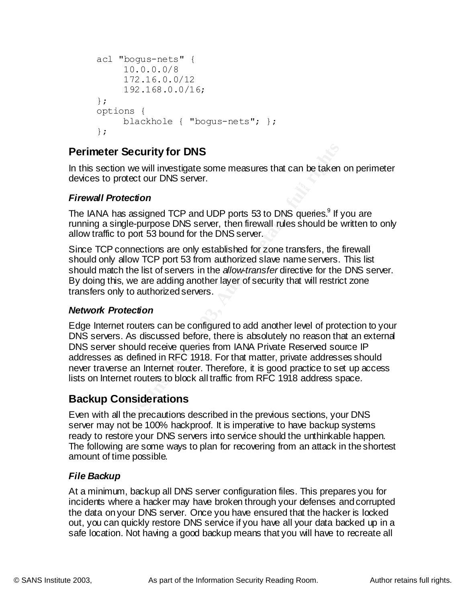```
acl "bogus-nets" {
     10.0.0.0/8
     172.16.0.0/12
     192.168.0.0/16;
};
options {
    blackhole { "bogus-nets"; };
};
```
# **Perimeter Security for DNS**

 $\mathcal{L}_{\mathcal{P}}$  final print  $\mathcal{L}_{\mathcal{P}}$  and  $\mathcal{L}_{\mathcal{P}}$  and  $\mathcal{L}_{\mathcal{P}}$  and  $\mathcal{L}_{\mathcal{P}}$ In this section we will investigate some measures that can be taken on perimeter devices to protect our DNS server.

#### *Firewall Protection*

The IANA has assigned TCP and UDP ports 53 to DNS queries.<sup>9</sup> If you are running a single-purpose DNS server, then firewall rules should be written to only allow traffic to port 53 bound for the DNS server.

Since TCP connections are only established for zone transfers, the firewall should only allow TCP port 53 from authorized slave name servers. This list should match the list of servers in the *allow-transfer* directive for the DNS server. By doing this, we are adding another layer of security that will restrict zone transfers only to authorized servers.

#### *Network Protection*

**Exerculty for DNS**<br> **CONSTANT CONS**<br> **CONSTANT CONS** Server.<br> **Protection**<br>
A has assigned TCP and UDP ports 53 to DNS queries.<sup>9</sup> If y<br>
a single-purpose DNS server, then firewall rules should be victo to port 53 bound fo Edge Internet routers can be configured to add another level of protection to your DNS servers. As discussed before, there is absolutely no reason that an external DNS server should receive queries from IANA Private Reserved source IP addresses as defined in RFC 1918. For that matter, private addresses should never traverse an Internet router. Therefore, it is good practice to set up access lists on Internet routers to block all traffic from RFC 1918 address space.

# **Backup Considerations**

Even with all the precautions described in the previous sections, your DNS server may not be 100% hackproof. It is imperative to have backup systems ready to restore your DNS servers into service should the unthinkable happen. The following are some ways to plan for recovering from an attack in the shortest amount of time possible.

#### *File Backup*

incidents where a hacker may have broken through your defenses and corrupted At a minimum, backup all DNS server configuration files. This prepares you for the data on your DNS server. Once you have ensured that the hacker is locked out, you can quickly restore DNS service if you have all your data backed up in a safe location. Not having a good backup means that you will have to recreate all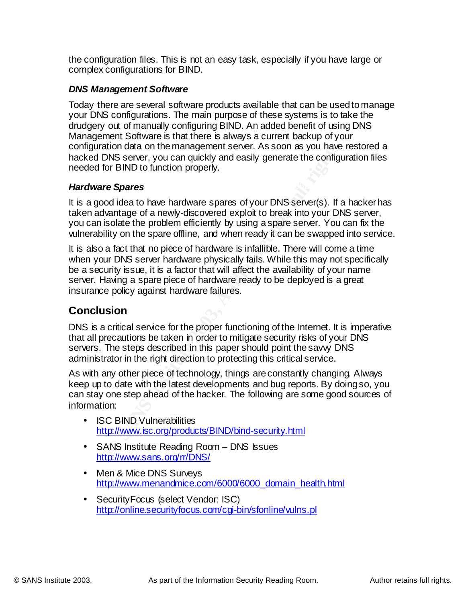the configuration files. This is not an easy task, especially if you have large or complex configurations for BIND.

### *DNS Management Software*

Today there are several software products available that can be used to manage your DNS configurations. The main purpose of these systems is to take the drudgery out of manually configuring BIND. An added benefit of using DNS Management Software is that there is always a current backup of your configuration data on the management server. As soon as you have restored a hacked DNS server, you can quickly and easily generate the configuration files needed for BIND to function properly.

#### **Hardware Spares Hardware Spares Hardware Spares**

It is a good idea to have hardware spares of your DNS server(s). If a hacker has taken advantage of a newly-discovered exploit to break into your DNS server, you can isolate the problem efficiently by using a spare server. You can fix the vulnerability on the spare offline, and when ready it can be swapped into service.

tion data on the management server. As soon as you have<br>
NNS server, you can quickly and easily generate the configure<br>
or BIND to function properly.<br> **Complexistical to have hardware spaces of your DNS server(s).** If a<br>
w It is also a fact that no piece of hardware is infallible. There will come a time when your DNS server hardware physically fails. While this may not specifically be a security issue, it is a factor that will affect the availability of your name server. Having a spare piece of hardware ready to be deployed is a great insurance policy against hardware failures.

# **Conclusion**

DNS is a critical service for the proper functioning of the Internet. It is imperative that all precautions be taken in order to mitigate security risks of your DNS servers. The steps described in this paper should point the savvy DNS administrator in the right direction to protecting this critical service.

As with any other piece of technology, things are constantly changing. Always keep up to date with the latest developments and bug reports. By doing so, you can stay one step ahead of the hacker. The following are some good sources of information:

- ISC BIND Vulnerabilities http://www.isc.org/products/BIND/bind-security.html
- SANS Institute Reading Room DNS Issues http://www.sans.org/rr/DNS/
- Men & Mice DNS Surveys http://www.menandmice.com/6000/6000\_domain\_health.html
- SecurityFocus (select Vendor: ISC) http://online.securityfocus.com/cgi-bin/sfonline/vulns.pl